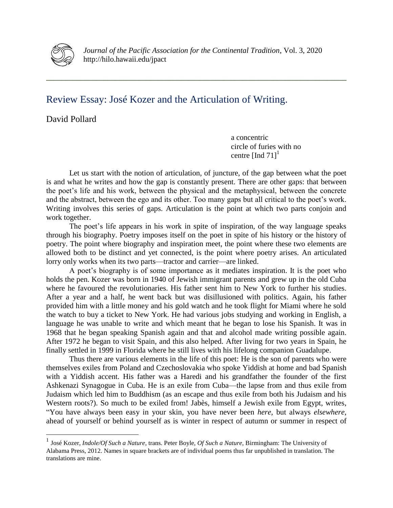

*Journal of the Pacific Association for the Continental Tradition*, Vol. 3, 2020 http://hilo.hawaii.edu/jpact

**\_\_\_\_\_\_\_\_\_\_\_\_\_\_\_\_\_\_\_\_\_\_\_\_\_\_\_\_\_\_\_\_\_\_\_\_\_\_\_\_\_\_\_\_\_\_\_\_\_\_\_\_\_\_\_\_\_\_\_\_\_\_\_\_\_\_\_\_\_\_\_\_\_\_\_\_\_\_**

## Review Essay: José Kozer and the Articulation of Writing.

David Pollard

 $\overline{a}$ 

a concentric circle of furies with no centre [Ind  $71$ ]<sup>1</sup>

Let us start with the notion of articulation, of juncture, of the gap between what the poet is and what he writes and how the gap is constantly present. There are other gaps: that between the poet's life and his work, between the physical and the metaphysical, between the concrete and the abstract, between the ego and its other. Too many gaps but all critical to the poet's work. Writing involves this series of gaps. Articulation is the point at which two parts conjoin and work together.

The poet's life appears in his work in spite of inspiration, of the way language speaks through his biography. Poetry imposes itself on the poet in spite of his history or the history of poetry. The point where biography and inspiration meet, the point where these two elements are allowed both to be distinct and yet connected, is the point where poetry arises. An articulated lorry only works when its two parts—tractor and carrier—are linked.

A poet's biography is of some importance as it mediates inspiration. It is the poet who holds the pen. Kozer was born in 1940 of Jewish immigrant parents and grew up in the old Cuba where he favoured the revolutionaries. His father sent him to New York to further his studies. After a year and a half, he went back but was disillusioned with politics. Again, his father provided him with a little money and his gold watch and he took flight for Miami where he sold the watch to buy a ticket to New York. He had various jobs studying and working in English, a language he was unable to write and which meant that he began to lose his Spanish. It was in 1968 that he began speaking Spanish again and that and alcohol made writing possible again. After 1972 he began to visit Spain, and this also helped. After living for two years in Spain, he finally settled in 1999 in Florida where he still lives with his lifelong companion Guadalupe.

Thus there are various elements in the life of this poet: He is the son of parents who were themselves exiles from Poland and Czechoslovakia who spoke Yiddish at home and bad Spanish with a Yiddish accent. His father was a Haredi and his grandfather the founder of the first Ashkenazi Synagogue in Cuba. He is an exile from Cuba—the lapse from and thus exile from Judaism which led him to Buddhism (as an escape and thus exile from both his Judaism and his Western roots?). So much to be exiled from! Jabès, himself a Jewish exile from Egypt, writes, "You have always been easy in your skin, you have never been *here*, but always *elsewhere*, ahead of yourself or behind yourself as is winter in respect of autumn or summer in respect of

<sup>1</sup> José Kozer, *Indole/Of Such a Nature*, trans. Peter Boyle, *Of Such a Nature*, Birmingham: The University of Alabama Press, 2012. Names in square brackets are of individual poems thus far unpublished in translation. The translations are mine.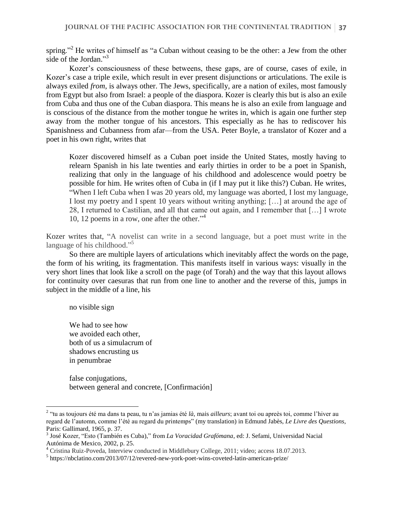spring."<sup>2</sup> He writes of himself as "a Cuban without ceasing to be the other: a Jew from the other side of the Jordan."<sup>3</sup>

Kozer's consciousness of these betweens, these gaps, are of course, cases of exile, in Kozer's case a triple exile, which result in ever present disjunctions or articulations. The exile is always exiled *from*, is always other. The Jews, specifically, are a nation of exiles, most famously from Egypt but also from Israel: a people of the diaspora. Kozer is clearly this but is also an exile from Cuba and thus one of the Cuban diaspora. This means he is also an exile from language and is conscious of the distance from the mother tongue he writes in, which is again one further step away from the mother tongue of his ancestors. This especially as he has to rediscover his Spanishness and Cubanness from afar—from the USA. Peter Boyle, a translator of Kozer and a poet in his own right, writes that

Kozer discovered himself as a Cuban poet inside the United States, mostly having to relearn Spanish in his late twenties and early thirties in order to be a poet in Spanish, realizing that only in the language of his childhood and adolescence would poetry be possible for him. He writes often of Cuba in (if I may put it like this?) Cuban. He writes, "When I left Cuba when I was 20 years old, my language was aborted, I lost my language, I lost my poetry and I spent 10 years without writing anything; […] at around the age of 28, I returned to Castilian, and all that came out again, and I remember that […] I wrote 10, 12 poems in a row, one after the other." 4

Kozer writes that, "A novelist can write in a second language, but a poet must write in the language of his childhood."<sup>5</sup>

So there are multiple layers of articulations which inevitably affect the words on the page, the form of his writing, its fragmentation. This manifests itself in various ways: visually in the very short lines that look like a scroll on the page (of Torah) and the way that this layout allows for continuity over caesuras that run from one line to another and the reverse of this, jumps in subject in the middle of a line, his

no visible sign

 $\overline{a}$ 

We had to see how we avoided each other, both of us a simulacrum of shadows encrusting us in penumbrae

false conjugations, between general and concrete, [Confirmación]

<sup>2</sup> "tu as toujours été ma dans ta peau, tu n'as jamias été *là*, mais *ailleurs*; avant toi ou apreès toi, comme l'hiver au regard de l'automn, comme l'été au regard du printemps" (my translation) in Edmund Jabès, *Le Livre des Questions*, Paris: Gallimard, 1965, p. 37.

<sup>3</sup> José Kozer, "Esto (También es Cuba)," from *La Voracidad Grafómana*, ed: J. Sefami, Universidad Nacial Autónima de Mexico, 2002, p. 25.

<sup>4</sup> Cristina Ruiz-Poveda, Interview conducted in Middlebury College, 2011; video; access 18.07.2013.

<sup>5</sup> https://nbclatino.com/2013/07/12/revered-new-york-poet-wins-coveted-latin-american-prize/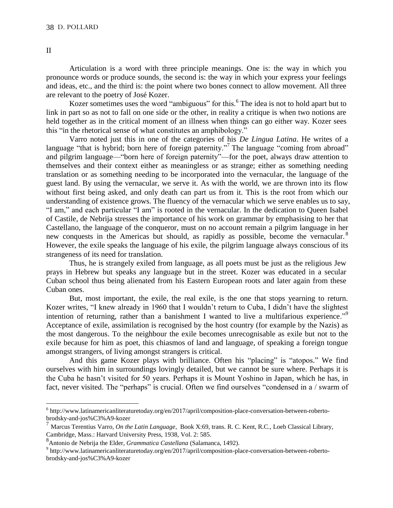Articulation is a word with three principle meanings. One is: the way in which you pronounce words or produce sounds, the second is: the way in which your express your feelings and ideas, etc., and the third is: the point where two bones connect to allow movement. All three are relevant to the poetry of José Kozer.

Kozer sometimes uses the word "ambiguous" for this.<sup>6</sup> The idea is not to hold apart but to link in part so as not to fall on one side or the other, in reality a critique is when two notions are held together as in the critical moment of an illness when things can go either way. Kozer sees this "in the rhetorical sense of what constitutes an amphibology."

Varro noted just this in one of the categories of his *De Lingua Latina*. He writes of a language "that is hybrid; born here of foreign paternity."<sup>7</sup> The language "coming from abroad" and pilgrim language—"born here of foreign paternity"—for the poet, always draw attention to themselves and their context either as meaningless or as strange; either as something needing translation or as something needing to be incorporated into the vernacular, the language of the guest land. By using the vernacular, we serve it. As with the world, we are thrown into its flow without first being asked, and only death can part us from it. This is the root from which our understanding of existence grows. The fluency of the vernacular which we serve enables us to say, "I am," and each particular "I am" is rooted in the vernacular. In the dedication to Queen Isabel of Castile, de Nebrija stresses the importance of his work on grammar by emphasising to her that Castellano, the language of the conqueror, must on no account remain a pilgrim language in her new conquests in the Americas but should, as rapidly as possible, become the vernacular.<sup>8</sup> However, the exile speaks the language of his exile, the pilgrim language always conscious of its strangeness of its need for translation.

Thus, he is strangely exiled from language, as all poets must be just as the religious Jew prays in Hebrew but speaks any language but in the street. Kozer was educated in a secular Cuban school thus being alienated from his Eastern European roots and later again from these Cuban ones.

But, most important, the exile, the real exile, is the one that stops yearning to return. Kozer writes, "I knew already in 1960 that I wouldn't return to Cuba, I didn't have the slightest intention of returning, rather than a banishment I wanted to live a multifarious experience."<sup>9</sup> Acceptance of exile, assimilation is recognised by the host country (for example by the Nazis) as the most dangerous. To the neighbour the exile becomes unrecognisable as exile but not to the exile because for him as poet, this chiasmos of land and language, of speaking a foreign tongue amongst strangers, of living amongst strangers is critical.

And this game Kozer plays with brilliance. Often his "placing" is "atopos." We find ourselves with him in surroundings lovingly detailed, but we cannot be sure where. Perhaps it is the Cuba he hasn't visited for 50 years. Perhaps it is Mount Yoshino in Japan, which he has, in fact, never visited. The "perhaps" is crucial. Often we find ourselves "condensed in a / swarm of

II

<sup>&</sup>lt;sup>6</sup> http://www.latinamericanliteraturetoday.org/en/2017/april/composition-place-conversation-between-robertobrodsky-and-jos%C3%A9-kozer

<sup>7</sup> Marcus Terentius Varro*, On the Latin Language*, Book X:69, trans. R. C. Kent, R.C., Loeb Classical Library, Cambridge, Mass.: Harvard University Press, 1938, Vol. 2: 585.

<sup>8</sup> Antonio de Nebrija the Elder, *Grammatica Castellana* (Salamanca, 1492).

<sup>&</sup>lt;sup>9</sup> http://www.latinamericanliteraturetoday.org/en/2017/april/composition-place-conversation-between-robertobrodsky-and-jos%C3%A9-kozer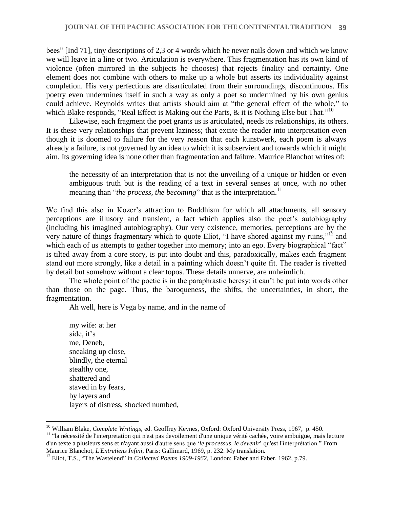bees" [Ind 71], tiny descriptions of 2,3 or 4 words which he never nails down and which we know we will leave in a line or two. Articulation is everywhere. This fragmentation has its own kind of violence (often mirrored in the subjects he chooses) that rejects finality and certainty. One element does not combine with others to make up a whole but asserts its individuality against completion. His very perfections are disarticulated from their surroundings, discontinuous. His poetry even undermines itself in such a way as only a poet so undermined by his own genius could achieve. Reynolds writes that artists should aim at "the general effect of the whole," to which Blake responds, "Real Effect is Making out the Parts,  $\&$  it is Nothing Else but That."<sup>10</sup>

Likewise, each fragment the poet grants us is articulated, needs its relationships, its others. It is these very relationships that prevent laziness; that excite the reader into interpretation even though it is doomed to failure for the very reason that each kunstwerk, each poem is always already a failure, is not governed by an idea to which it is subservient and towards which it might aim. Its governing idea is none other than fragmentation and failure. Maurice Blanchot writes of:

the necessity of an interpretation that is not the unveiling of a unique or hidden or even ambiguous truth but is the reading of a text in several senses at once, with no other meaning than "*the process, the becoming*" that is the interpretation.<sup>11</sup>

We find this also in Kozer's attraction to Buddhism for which all attachments, all sensory perceptions are illusory and transient, a fact which applies also the poet's autobiography (including his imagined autobiography). Our very existence, memories, perceptions are by the very nature of things fragmentary which to quote Eliot, "I have shored against my ruins,"<sup>12</sup> and which each of us attempts to gather together into memory; into an ego. Every biographical "fact" is tilted away from a core story, is put into doubt and this, paradoxically, makes each fragment stand out more strongly, like a detail in a painting which doesn't quite fit. The reader is rivetted by detail but somehow without a clear topos. These details unnerve, are unheimlich.

The whole point of the poetic is in the paraphrastic heresy: it can't be put into words other than those on the page. Thus, the baroqueness, the shifts, the uncertainties, in short, the fragmentation.

Ah well, here is Vega by name, and in the name of

my wife: at her side, it's me, Deneb, sneaking up close, blindly, the eternal stealthy one, shattered and staved in by fears, by layers and layers of distress, shocked numbed,

<sup>10</sup> William Blake, *Complete Writings*, ed. Geoffrey Keynes, Oxford: Oxford University Press, 1967, p. 450.

<sup>&</sup>lt;sup>11</sup> "la nécessité de l'interpretation qui n'est pas devoilement d'une unique vérité cachée, voire ambuiguë, mais lecture d'un texte a plusieurs sens et n'ayant aussi d'autre sens que '*le processus, le devenir*' qu'est l'interprétation." From Maurice Blanchot, *L'Entretiens Infini*, Paris: Gallimard, 1969, p. 232. My translation.

<sup>&</sup>lt;sup>12</sup> Eliot, T.S., "The Wastelend" in *Collected Poems 1909-1962*, London: Faber and Faber, 1962, p.79.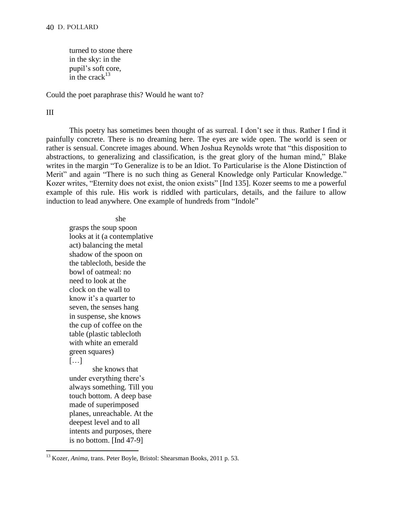## 40 D. POLLARD

turned to stone there in the sky: in the pupil's soft core, in the crack $13$ 

Could the poet paraphrase this? Would he want to?

## III

 $\overline{a}$ 

This poetry has sometimes been thought of as surreal. I don't see it thus. Rather I find it painfully concrete. There is no dreaming here. The eyes are wide open. The world is seen or rather is sensual. Concrete images abound. When Joshua Reynolds wrote that "this disposition to abstractions, to generalizing and classification, is the great glory of the human mind," Blake writes in the margin "To Generalize is to be an Idiot. To Particularise is the Alone Distinction of Merit" and again "There is no such thing as General Knowledge only Particular Knowledge." Kozer writes, "Eternity does not exist, the onion exists" [Ind 135]. Kozer seems to me a powerful example of this rule. His work is riddled with particulars, details, and the failure to allow induction to lead anywhere. One example of hundreds from "Indole"

she

grasps the soup spoon looks at it (a contemplative act) balancing the metal shadow of the spoon on the tablecloth, beside the bowl of oatmeal: no need to look at the clock on the wall to know it's a quarter to seven, the senses hang in suspense, she knows the cup of coffee on the table (plastic tablecloth with white an emerald green squares) […] she knows that under everything there's

always something. Till you touch bottom. A deep base made of superimposed planes, unreachable. At the deepest level and to all intents and purposes, there is no bottom. [Ind 47-9]

<sup>&</sup>lt;sup>13</sup> Kozer, *Anima*, trans. Peter Boyle, Bristol: Shearsman Books, 2011 p. 53.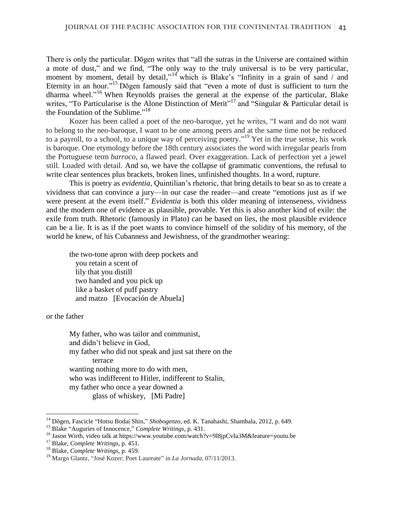There is only the particular. Dōgen writes that "all the sutras in the Universe are contained within a mote of dust," and we find, "The only way to the truly universal is to be very particular, moment by moment, detail by detail,"<sup>14</sup> which is Blake's "Infinity in a grain of sand / and Eternity in an hour."<sup>15</sup> Dōgen famously said that "even a mote of dust is sufficient to turn the dharma wheel." <sup>16</sup> When Reynolds praises the general at the expense of the particular, Blake writes, "To Particularise is the Alone Distinction of Merit"<sup>17</sup> and "Singular & Particular detail is the Foundation of the Sublime."<sup>18</sup>

Kozer has been called a poet of the neo-baroque, yet he writes, "I want and do not want to belong to the neo-baroque, I want to be one among peers and at the same time not be reduced to a payroll, to a school, to a unique way of perceiving poetry." <sup>19</sup> Yet in the true sense, his work is baroque. One etymology before the 18th century associates the word with irregular pearls from the Portuguese term *barroco*, a flawed pearl. Over exaggeration. Lack of perfection yet a jewel still. Loaded with detail. And so, we have the collapse of grammatic conventions, the refusal to write clear sentences plus brackets, broken lines, unfinished thoughts. In a word, rupture.

This is poetry as *evidentia*, Quintilian's rhetoric, that bring details to bear so as to create a vividness that can convince a jury—in our case the reader—and create "emotions just as if we were present at the event itself." *Evidentia* is both this older meaning of intenseness, vividness and the modern one of evidence as plausible, provable. Yet this is also another kind of exile: the exile from truth. Rhetoric (famously in Plato) can be based on lies, the most plausible evidence can be a lie. It is as if the poet wants to convince himself of the solidity of his memory, of the world he knew, of his Cubanness and Jewishness, of the grandmother wearing:

the two-tone apron with deep pockets and you retain a scent of lily that you distill two handed and you pick up like a basket of puff pastry and matzo [Evocación de Abuela]

or the father

 $\overline{a}$ 

My father, who was tailor and communist, and didn't believe in God, my father who did not speak and just sat there on the terrace wanting nothing more to do with men, who was indifferent to Hitler, indifferent to Stalin, my father who once a year downed a glass of whiskey, [Mi Padre]

<sup>14</sup> Dōgen, Fascicle "Hotsu Bodai Shin," *Shobogenzo*, ed. K. Tanahashi, Shambala, 2012, p. 649.

<sup>15</sup> Blake "Auguries of Innocence," *Complete Writings*, p. 431.

<sup>&</sup>lt;sup>16</sup> Jason Wirth, video talk at https://www.youtube.com/watch?v=9l8jpCvIa3M&feature=youtu.be

<sup>17</sup> Blake, *Complete Writings*, p. 451.

<sup>18</sup> Blake, *Complete Writings*, p. 459.

<sup>19</sup> Margo Glantz, "José Kozer: Poet Laureate" in *La Jornada*, 07/11/2013.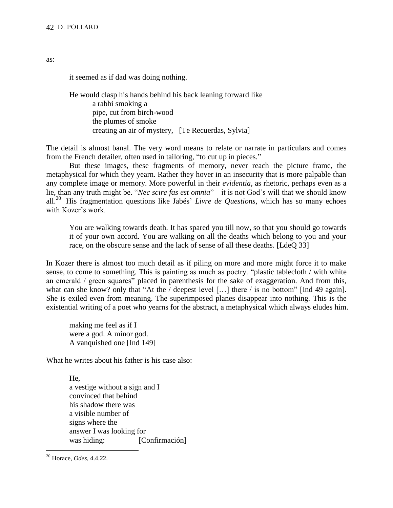it seemed as if dad was doing nothing.

He would clasp his hands behind his back leaning forward like a rabbi smoking a pipe, cut from birch-wood the plumes of smoke creating an air of mystery, [Te Recuerdas, Sylvia]

The detail is almost banal. The very word means to relate or narrate in particulars and comes from the French detailer, often used in tailoring, "to cut up in pieces."

But these images, these fragments of memory, never reach the picture frame, the metaphysical for which they yearn. Rather they hover in an insecurity that is more palpable than any complete image or memory. More powerful in their *evidentia*, as rhetoric, perhaps even as a lie, than any truth might be. "*Nec scire fas est omnia*"—it is not God's will that we should know all.<sup>20</sup> His fragmentation questions like Jabés' *Livre de Questions*, which has so many echoes with Kozer's work.

You are walking towards death. It has spared you till now, so that you should go towards it of your own accord. You are walking on all the deaths which belong to you and your race, on the obscure sense and the lack of sense of all these deaths. [LdeO 33]

In Kozer there is almost too much detail as if piling on more and more might force it to make sense, to come to something. This is painting as much as poetry. "plastic tablecloth / with white an emerald / green squares" placed in parenthesis for the sake of exaggeration. And from this, what can she know? only that "At the / deepest level [...] there / is no bottom" [Ind 49 again]. She is exiled even from meaning. The superimposed planes disappear into nothing. This is the existential writing of a poet who yearns for the abstract, a metaphysical which always eludes him.

making me feel as if I were a god. A minor god. A vanquished one [Ind 149]

What he writes about his father is his case also:

He, a vestige without a sign and I convinced that behind his shadow there was a visible number of signs where the answer I was looking for was hiding: [Confirmación]

 $\overline{a}$ 

as:

<sup>20</sup> Horace, *Odes*, 4.4.22.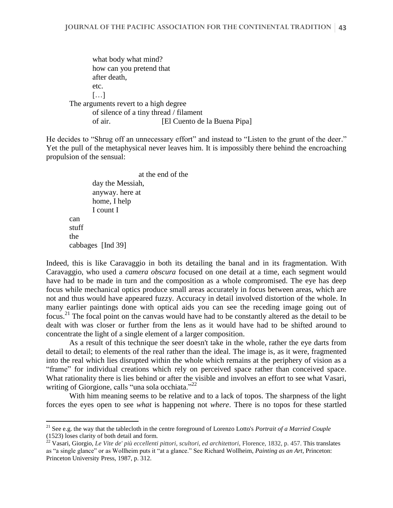what body what mind? how can you pretend that after death, etc. […] The arguments revert to a high degree of silence of a tiny thread / filament of air. [El Cuento de la Buena Pipa]

He decides to "Shrug off an unnecessary effort" and instead to "Listen to the grunt of the deer." Yet the pull of the metaphysical never leaves him. It is impossibly there behind the encroaching propulsion of the sensual:

at the end of the day the Messiah, anyway. here at home, I help I count I can stuff the cabbages [Ind 39]

 $\overline{a}$ 

Indeed, this is like Caravaggio in both its detailing the banal and in its fragmentation. With Caravaggio, who used a *camera obscura* focused on one detail at a time, each segment would have had to be made in turn and the composition as a whole compromised. The eye has deep focus while mechanical optics produce small areas accurately in focus between areas, which are not and thus would have appeared fuzzy. Accuracy in detail involved distortion of the whole. In many earlier paintings done with optical aids you can see the receding image going out of focus.<sup>21</sup> The focal point on the canvas would have had to be constantly altered as the detail to be dealt with was closer or further from the lens as it would have had to be shifted around to concentrate the light of a single element of a larger composition.

As a result of this technique the seer doesn't take in the whole, rather the eye darts from detail to detail; to elements of the real rather than the ideal. The image is, as it were, fragmented into the real which lies disrupted within the whole which remains at the periphery of vision as a "frame" for individual creations which rely on perceived space rather than conceived space. What rationality there is lies behind or after the visible and involves an effort to see what Vasari, writing of Giorgione, calls "una sola occhiata."<sup>22</sup>

With him meaning seems to be relative and to a lack of topos. The sharpness of the light forces the eyes open to see *what* is happening not *where*. There is no topos for these startled

<sup>21</sup> See e.g. the way that the tablecloth in the centre foreground of Lorenzo Lotto's *Portrait of a Married Couple* (1523) loses clarity of both detail and form.

<sup>&</sup>lt;sup>22</sup> Vasari, Giorgio, *Le Vite de' più eccellenti pittori, scultori, ed architettori, Florence, 1832, p. 457. This translates* as "a single glance" or as Wollheim puts it "at a glance." See Richard Wollheim, *Painting as an Art*, Princeton: Princeton University Press, 1987, p. 312.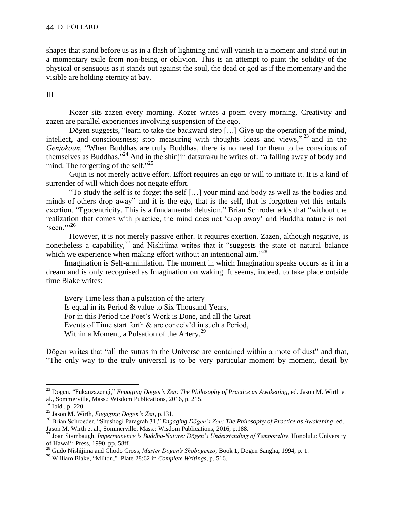shapes that stand before us as in a flash of lightning and will vanish in a moment and stand out in a momentary exile from non-being or oblivion. This is an attempt to paint the solidity of the physical or sensuous as it stands out against the soul, the dead or god as if the momentary and the visible are holding eternity at bay.

## III

Kozer sits zazen every morning. Kozer writes a poem every morning. Creativity and zazen are parallel experiences involving suspension of the ego.

Dōgen suggests, "learn to take the backward step [...] Give up the operation of the mind, intellect, and consciousness; stop measuring with thoughts ideas and views," <sup>23</sup> and in the *Genjōkōan*, "When Buddhas are truly Buddhas, there is no need for them to be conscious of themselves as Buddhas."<sup>24</sup> And in the shinjin datsuraku he writes of: "a falling away of body and mind. The forgetting of the self."<sup>25</sup>

Gujin is not merely active effort. Effort requires an ego or will to initiate it. It is a kind of surrender of will which does not negate effort.

"To study the self is to forget the self […] your mind and body as well as the bodies and minds of others drop away" and it is the ego, that is the self, that is forgotten yet this entails exertion. "Egocentricity. This is a fundamental delusion." Brian Schroder adds that "without the realization that comes with practice, the mind does not 'drop away' and Buddha nature is not  $\epsilon_{\text{seen}}$ ,,26

However, it is not merely passive either. It requires exertion. Zazen, although negative, is nonetheless a capability, $^{27}$  and Nishijima writes that it "suggests the state of natural balance which we experience when making effort without an intentional aim."<sup>28</sup>

Imagination is Self-annihilation. The moment in which Imagination speaks occurs as if in a dream and is only recognised as Imagination on waking. It seems, indeed, to take place outside time Blake writes:

Every Time less than a pulsation of the artery Is equal in its Period & value to Six Thousand Years, For in this Period the Poet's Work is Done, and all the Great Events of Time start forth & are conceiv'd in such a Period, Within a Moment, a Pulsation of the Artery.<sup>29</sup>

Dōgen writes that "all the sutras in the Universe are contained within a mote of dust" and that, "The only way to the truly universal is to be very particular moment by moment, detail by

<sup>23</sup> Dōgen, "Fukanzazengi," *Engaging Dōgen's Zen: The Philosophy of Practice as Awakening*, ed. Jason M. Wirth et al., Sommerville, Mass.: Wisdom Publications, 2016, p. 215.

*<sup>24</sup>* Ibid*.*, p. 220.

<sup>25</sup> Jason M. Wirth, *Engaging Dogen's Zen*, p.131.

<sup>26</sup> Brian Schroeder, "Shushogi Paragrah 31," *Engaging Dōgen's Zen: The Philosophy of Practice as Awakening*, ed. Jason M. Wirth et al., Sommerville, Mass.: Wisdom Publications, 2016, p.188.

<sup>27</sup> Joan Stambaugh, *Impermanence is Buddha-Nature: Dōgen's Understanding of Temporality*. Honolulu: University of Hawaiʻi Press, 1990, pp. 58ff.

<sup>28</sup> Gudo Nishijima and Chodo Cross, *Master Dogen's Shōbōgenzō*, Book **1**, Dōgen Sangha, 1994, p. 1.

<sup>29</sup> William Blake, "Milton," Plate 28:62 in *Complete Writings*, p. 516.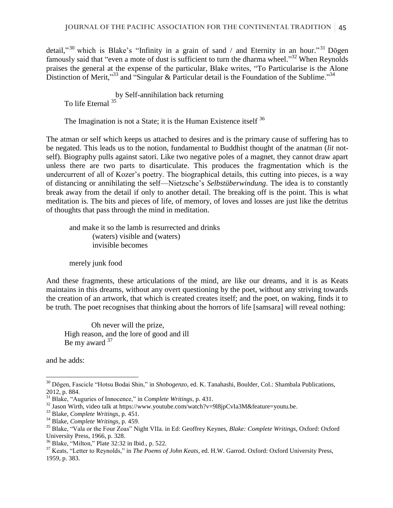detail,"<sup>30</sup> which is Blake's "Infinity in a grain of sand / and Eternity in an hour."<sup>31</sup> Dotgen famously said that "even a mote of dust is sufficient to turn the dharma wheel."<sup>32</sup> When Reynolds praises the general at the expense of the particular, Blake writes, "To Particularise is the Alone Distinction of Merit,"<sup>33</sup> and "Singular & Particular detail is the Foundation of the Sublime."<sup>34</sup>

by Self-annihilation back returning To life Eternal 35

The Imagination is not a State; it is the Human Existence itself <sup>36</sup>

The atman or self which keeps us attached to desires and is the primary cause of suffering has to be negated. This leads us to the notion, fundamental to Buddhist thought of the anatman (*lit* notself). Biography pulls against satori. Like two negative poles of a magnet, they cannot draw apart unless there are two parts to disarticulate. This produces the fragmentation which is the undercurrent of all of Kozer's poetry. The biographical details, this cutting into pieces, is a way of distancing or annihilating the self—Nietzsche's *Selbstüberwindung*. The idea is to constantly break away from the detail if only to another detail. The breaking off is the point. This is what meditation is. The bits and pieces of life, of memory, of loves and losses are just like the detritus of thoughts that pass through the mind in meditation.

and make it so the lamb is resurrected and drinks (waters) visible and (waters) invisible becomes

merely junk food

And these fragments, these articulations of the mind, are like our dreams, and it is as Keats maintains in this dreams, without any overt questioning by the poet, without any striving towards the creation of an artwork, that which is created creates itself; and the poet, on waking, finds it to be truth. The poet recognises that thinking about the horrors of life [samsara] will reveal nothing:

 Oh never will the prize, High reason, and the lore of good and ill Be my award <sup>37</sup>

and he adds:

<sup>30</sup> Dōgen, Fascicle "Hotsu Bodai Shin," in *Shobogenzo*, ed. K. Tanahashi, Boulder, Col.: Shambala Publications, 2012, p. 884.

<sup>31</sup> Blake, "Auguries of Innocence," in *Complete Writings*, p. 431.

 $32$  Jason Wirth, video talk at https://www.youtube.com/watch?v=9l8jpCvIa3M&feature=youtu.be.

<sup>33</sup> Blake, *Complete Writings*, p. 451.

<sup>34</sup> Blake, *Complete Writings*, p. 459.

<sup>35</sup> Blake, "Vala or the Four Zoas" Night VIIa. in Ed: Geoffrey Keynes, *Blake: Complete Writings*, Oxford: Oxford University Press, 1966, p. 328.

<sup>36</sup> Blake, "Milton," Plate 32:32 in Ibid., p. 522.

<sup>37</sup> Keats, "Letter to Reynolds," in *The Poems of John Keats*, ed. H.W. Garrod. Oxford: Oxford University Press, 1959, p. 383.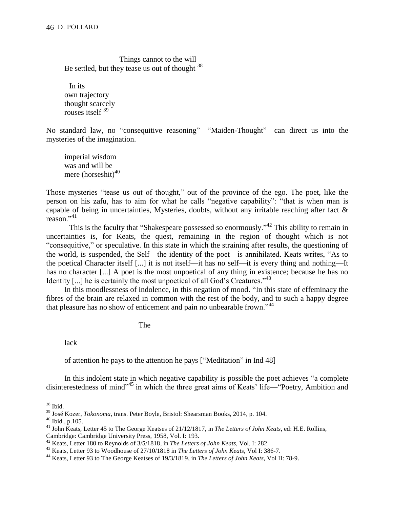Things cannot to the will Be settled, but they tease us out of thought  $38$ 

In its own trajectory thought scarcely rouses itself <sup>39</sup>

No standard law, no "consequitive reasoning"—"Maiden-Thought"—can direct us into the mysteries of the imagination.

imperial wisdom was and will be mere (horseshit) $40$ 

Those mysteries "tease us out of thought," out of the province of the ego. The poet, like the person on his zafu, has to aim for what he calls "negative capability": "that is when man is capable of being in uncertainties, Mysteries, doubts, without any irritable reaching after fact  $\&$ reason." $^{41}$ 

This is the faculty that "Shakespeare possessed so enormously."<sup>42</sup> This ability to remain in uncertainties is, for Keats, the quest, remaining in the region of thought which is not "consequitive," or speculative. In this state in which the straining after results, the questioning of the world, is suspended, the Self—the identity of the poet—is annihilated. Keats writes, "As to the poetical Character itself [...] it is not itself—it has no self—it is every thing and nothing—It has no character [...] A poet is the most unpoetical of any thing in existence; because he has no Identity  $[...]$  he is certainly the most unpoetical of all God's Creatures.<sup> $143$ </sup>

In this moodlessness of indolence, in this negation of mood. "In this state of effeminacy the fibres of the brain are relaxed in common with the rest of the body, and to such a happy degree that pleasure has no show of enticement and pain no unbearable frown."<sup>44</sup>

The

lack

of attention he pays to the attention he pays ["Meditation" in Ind 48]

In this indolent state in which negative capability is possible the poet achieves "a complete disinterestedness of mind"<sup>45</sup> in which the three great aims of Keats' life—"Poetry, Ambition and

 $38$  Ibid.

<sup>39</sup> José Kozer, *Tokonoma*, trans. Peter Boyle, Bristol: Shearsman Books, 2014, p. 104.

<sup>40</sup> Ibid., p.105.

<sup>41</sup> John Keats, Letter 45 to The George Keatses of 21/12/1817, in *The Letters of John Keats*, ed: H.E. Rollins, Cambridge: Cambridge University Press, 1958, Vol. I: 193.

<sup>42</sup> Keats, Letter 180 to Reynolds of 3/5/1818, in *The Letters of John Keats*, Vol. I: 282.

<sup>43</sup> Keats, Letter 93 to Woodhouse of 27/10/1818 in *The Letters of John Keats*, Vol I: 386-7.

<sup>44</sup> Keats, Letter 93 to The George Keatses of 19/3/1819, in *The Letters of John Keats*, Vol II: 78-9.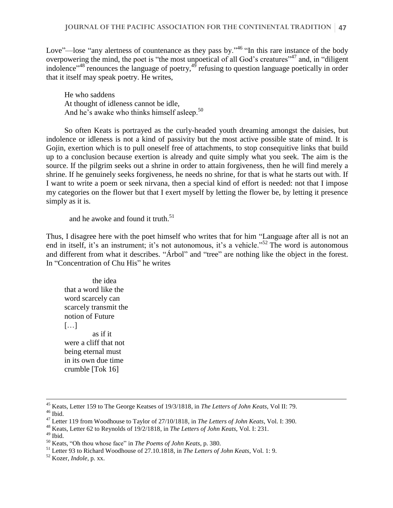Love"—lose "any alertness of countenance as they pass by."<sup>46</sup> "In this rare instance of the body overpowering the mind, the poet is "the most unpoetical of all God's creatures"<sup>47</sup> and, in "diligent indolence"<sup>48</sup> renounces the language of poetry,<sup>49</sup> refusing to question language poetically in order that it itself may speak poetry. He writes,

He who saddens At thought of idleness cannot be idle, And he's awake who thinks himself asleep.<sup>50</sup>

So often Keats is portrayed as the curly-headed youth dreaming amongst the daisies, but indolence or idleness is not a kind of passivity but the most active possible state of mind. It is Gojin, exertion which is to pull oneself free of attachments, to stop consequitive links that build up to a conclusion because exertion is already and quite simply what you seek. The aim is the source. If the pilgrim seeks out a shrine in order to attain forgiveness, then he will find merely a shrine. If he genuinely seeks forgiveness, he needs no shrine, for that is what he starts out with. If I want to write a poem or seek nirvana, then a special kind of effort is needed: not that I impose my categories on the flower but that I exert myself by letting the flower be, by letting it presence simply as it is.

and he awoke and found it truth.<sup>51</sup>

Thus, I disagree here with the poet himself who writes that for him "Language after all is not an end in itself, it's an instrument; it's not autonomous, it's a vehicle."<sup>52</sup> The word is autonomous and different from what it describes. "Árbol" and "tree" are nothing like the object in the forest. In "Concentration of Chu His" he writes

the idea that a word like the word scarcely can scarcely transmit the notion of Future […] as if it were a cliff that not being eternal must in its own due time crumble [Tok 16]

<sup>45</sup> Keats, Letter 159 to The George Keatses of 19/3/1818, in *The Letters of John Keats*, Vol II: 79.  $46$  Ibid.

<sup>47</sup> Letter 119 from Woodhouse to Taylor of 27/10/1818, in *The Letters of John Keats*, Vol. I: 390.

<sup>48</sup> Keats, Letter 62 to Reynolds of 19/2/1818, in *The Letters of John Keats*, Vol. I: 231.

 $^{49}$  Ibid.

<sup>50</sup> Keats, "Oh thou whose face" in *The Poems of John Keats*, p. 380.

<sup>51</sup> Letter 93 to Richard Woodhouse of 27.10.1818, in *The Letters of John Keats*, Vol. 1: 9.

<sup>52</sup> Kozer, *Indole*, p. xx.